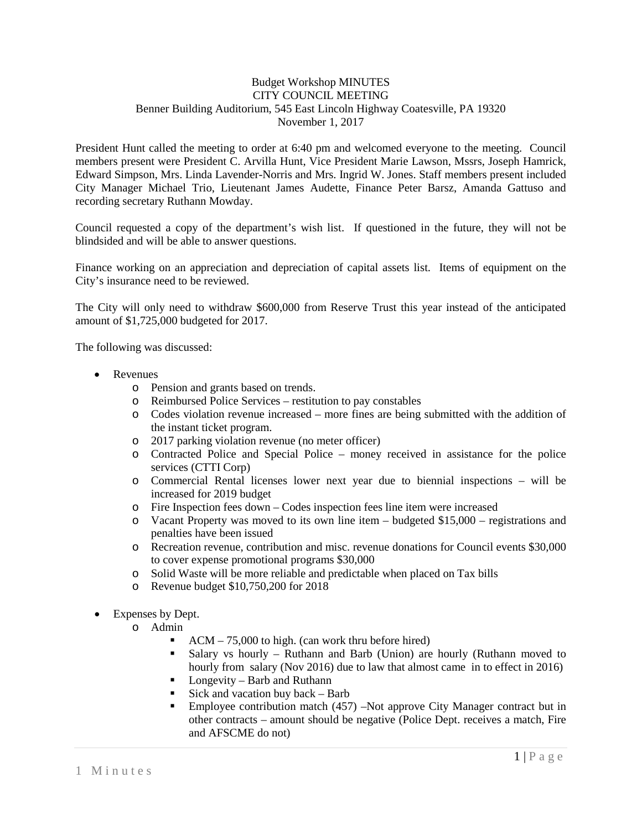## Budget Workshop MINUTES CITY COUNCIL MEETING Benner Building Auditorium, 545 East Lincoln Highway Coatesville, PA 19320 November 1, 2017

President Hunt called the meeting to order at 6:40 pm and welcomed everyone to the meeting. Council members present were President C. Arvilla Hunt, Vice President Marie Lawson, Mssrs, Joseph Hamrick, Edward Simpson, Mrs. Linda Lavender-Norris and Mrs. Ingrid W. Jones. Staff members present included City Manager Michael Trio, Lieutenant James Audette, Finance Peter Barsz, Amanda Gattuso and recording secretary Ruthann Mowday.

Council requested a copy of the department's wish list. If questioned in the future, they will not be blindsided and will be able to answer questions.

Finance working on an appreciation and depreciation of capital assets list. Items of equipment on the City's insurance need to be reviewed.

The City will only need to withdraw \$600,000 from Reserve Trust this year instead of the anticipated amount of \$1,725,000 budgeted for 2017.

The following was discussed:

- Revenues
	- o Pension and grants based on trends.
	- o Reimbursed Police Services restitution to pay constables
	- o Codes violation revenue increased more fines are being submitted with the addition of the instant ticket program.
	- o 2017 parking violation revenue (no meter officer)
	- o Contracted Police and Special Police money received in assistance for the police services (CTTI Corp)
	- o Commercial Rental licenses lower next year due to biennial inspections will be increased for 2019 budget
	- o Fire Inspection fees down Codes inspection fees line item were increased
	- $\circ$  Vacant Property was moved to its own line item budgeted \$15,000 registrations and penalties have been issued
	- o Recreation revenue, contribution and misc. revenue donations for Council events \$30,000 to cover expense promotional programs \$30,000
	- o Solid Waste will be more reliable and predictable when placed on Tax bills
	- o Revenue budget \$10,750,200 for 2018
- Expenses by Dept.
	- o Admin
		- ACM 75,000 to high. (can work thru before hired)
		- Salary vs hourly Ruthann and Barb (Union) are hourly (Ruthann moved to hourly from salary (Nov 2016) due to law that almost came in to effect in 2016)
		- $\blacksquare$  Longevity Barb and Ruthann
		- Sick and vacation buy back Barb
		- Employee contribution match (457) –Not approve City Manager contract but in other contracts – amount should be negative (Police Dept. receives a match, Fire and AFSCME do not)